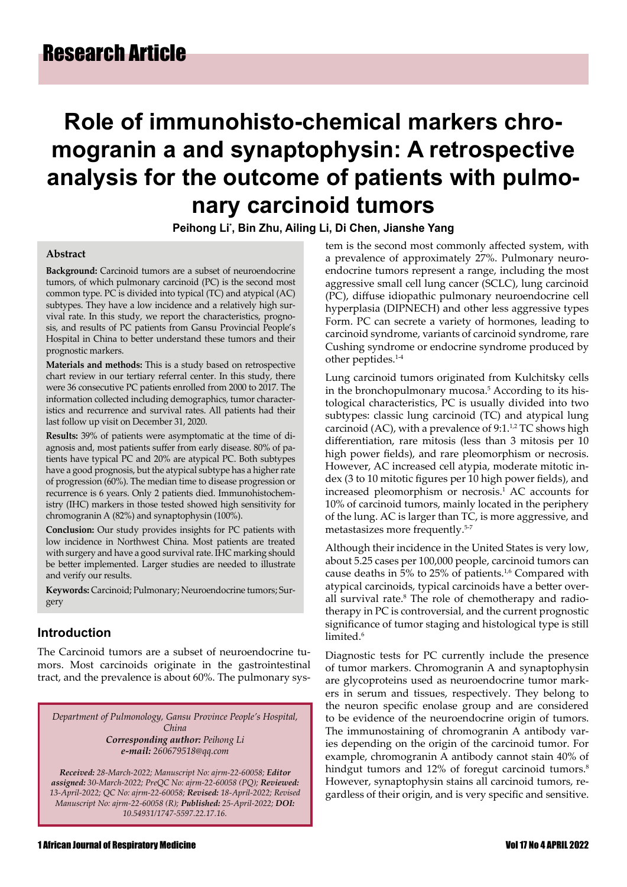# **Role of immunohisto-chemical markers chromogranin a and synaptophysin: A retrospective analysis for the outcome of patients with pulmonary carcinoid tumors**

**Peihong Li\* , Bin Zhu, Ailing Li, Di Chen, Jianshe Yang**

#### **Abstract**

**Background:** Carcinoid tumors are a subset of neuroendocrine tumors, of which pulmonary carcinoid (PC) is the second most common type. PC is divided into typical (TC) and atypical (AC) subtypes. They have a low incidence and a relatively high survival rate. In this study, we report the characteristics, prognosis, and results of PC patients from Gansu Provincial People's Hospital in China to better understand these tumors and their prognostic markers.

**Materials and methods:** This is a study based on retrospective chart review in our tertiary referral center. In this study, there were 36 consecutive PC patients enrolled from 2000 to 2017. The information collected including demographics, tumor characteristics and recurrence and survival rates. All patients had their last follow up visit on December 31, 2020.

**Results:** 39% of patients were asymptomatic at the time of diagnosis and, most patients suffer from early disease. 80% of patients have typical PC and 20% are atypical PC. Both subtypes have a good prognosis, but the atypical subtype has a higher rate of progression (60%). The median time to disease progression or recurrence is 6 years. Only 2 patients died. Immunohistochemistry (IHC) markers in those tested showed high sensitivity for chromogranin A (82%) and synaptophysin (100%).

**Conclusion:** Our study provides insights for PC patients with low incidence in Northwest China. Most patients are treated with surgery and have a good survival rate. IHC marking should be better implemented. Larger studies are needed to illustrate and verify our results.

**Keywords:** Carcinoid; Pulmonary; Neuroendocrine tumors; Surgery

#### **Introduction**

The Carcinoid tumors are a subset of neuroendocrine tumors. Most carcinoids originate in the gastrointestinal tract, and the prevalence is about 60%. The pulmonary sys-

*Department of Pulmonology, Gansu Province People's Hospital, China Corresponding author: Peihong Li e-mail: 260679518@qq.com*

*Received: 28-March-2022; Manuscript No: ajrm-22-60058; Editor assigned: 30-March-2022; PreQC No: ajrm-22-60058 (PQ); Reviewed: 13-April-2022; QC No: ajrm-22-60058; Revised: 18-April-2022; Revised Manuscript No: ajrm-22-60058 (R); Published: 25-April-2022; DOI: 10.54931/1747-5597.22.17.16.*

tem is the second most commonly affected system, with a prevalence of approximately 27%. Pulmonary neuroendocrine tumors represent a range, including the most aggressive small cell lung cancer (SCLC), lung carcinoid (PC), diffuse idiopathic pulmonary neuroendocrine cell hyperplasia (DIPNECH) and other less aggressive types Form. PC can secrete a variety of hormones, leading to carcinoid syndrome, variants of carcinoid syndrome, rare Cushing syndrome or endocrine syndrome produced by other peptides.1-4

Lung carcinoid tumors originated from Kulchitsky cells in the bronchopulmonary mucosa.<sup>5</sup> According to its histological characteristics, PC is usually divided into two subtypes: classic lung carcinoid (TC) and atypical lung carcinoid (AC), with a prevalence of  $9:1.^{1,2}$  TC shows high differentiation, rare mitosis (less than 3 mitosis per 10 high power fields), and rare pleomorphism or necrosis. However, AC increased cell atypia, moderate mitotic index (3 to 10 mitotic figures per 10 high power fields), and increased pleomorphism or necrosis.<sup>1</sup> AC accounts for 10% of carcinoid tumors, mainly located in the periphery of the lung. AC is larger than TC, is more aggressive, and metastasizes more frequently.5-7

Although their incidence in the United States is very low, about 5.25 cases per 100,000 people, carcinoid tumors can cause deaths in 5% to 25% of patients.<sup>1,6</sup> Compared with atypical carcinoids, typical carcinoids have a better overall survival rate.<sup>8</sup> The role of chemotherapy and radiotherapy in PC is controversial, and the current prognostic significance of tumor staging and histological type is still limited.<sup>6</sup>

Diagnostic tests for PC currently include the presence of tumor markers. Chromogranin A and synaptophysin are glycoproteins used as neuroendocrine tumor markers in serum and tissues, respectively. They belong to the neuron specific enolase group and are considered to be evidence of the neuroendocrine origin of tumors. The immunostaining of chromogranin A antibody varies depending on the origin of the carcinoid tumor. For example, chromogranin A antibody cannot stain 40% of hindgut tumors and 12% of foregut carcinoid tumors.<sup>8</sup> However, synaptophysin stains all carcinoid tumors, regardless of their origin, and is very specific and sensitive.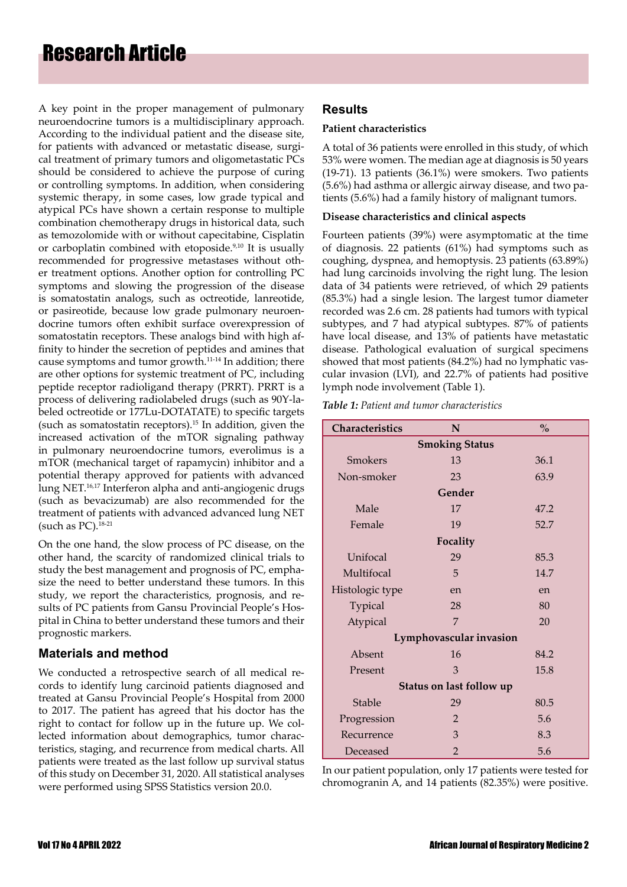A key point in the proper management of pulmonary neuroendocrine tumors is a multidisciplinary approach. According to the individual patient and the disease site, for patients with advanced or metastatic disease, surgical treatment of primary tumors and oligometastatic PCs should be considered to achieve the purpose of curing or controlling symptoms. In addition, when considering systemic therapy, in some cases, low grade typical and atypical PCs have shown a certain response to multiple combination chemotherapy drugs in historical data, such as temozolomide with or without capecitabine, Cisplatin or carboplatin combined with etoposide.<sup>9,10</sup> It is usually recommended for progressive metastases without other treatment options. Another option for controlling PC symptoms and slowing the progression of the disease is somatostatin analogs, such as octreotide, lanreotide, or pasireotide, because low grade pulmonary neuroendocrine tumors often exhibit surface overexpression of somatostatin receptors. These analogs bind with high affinity to hinder the secretion of peptides and amines that cause symptoms and tumor growth.11-14 In addition; there are other options for systemic treatment of PC, including peptide receptor radioligand therapy (PRRT). PRRT is a process of delivering radiolabeled drugs (such as 90Y-labeled octreotide or 177Lu-DOTATATE) to specific targets (such as somatostatin receptors).<sup>15</sup> In addition, given the increased activation of the mTOR signaling pathway in pulmonary neuroendocrine tumors, everolimus is a mTOR (mechanical target of rapamycin) inhibitor and a potential therapy approved for patients with advanced lung NET.<sup>16,17</sup> Interferon alpha and anti-angiogenic drugs (such as bevacizumab) are also recommended for the treatment of patients with advanced advanced lung NET (such as  $PC$ ).<sup>18-21</sup>

On the one hand, the slow process of PC disease, on the other hand, the scarcity of randomized clinical trials to study the best management and prognosis of PC, emphasize the need to better understand these tumors. In this study, we report the characteristics, prognosis, and results of PC patients from Gansu Provincial People's Hospital in China to better understand these tumors and their prognostic markers.

## **Materials and method**

We conducted a retrospective search of all medical records to identify lung carcinoid patients diagnosed and treated at Gansu Provincial People's Hospital from 2000 to 2017. The patient has agreed that his doctor has the right to contact for follow up in the future up. We collected information about demographics, tumor characteristics, staging, and recurrence from medical charts. All patients were treated as the last follow up survival status of this study on December 31, 2020. All statistical analyses were performed using SPSS Statistics version 20.0.

## **Results**

#### **Patient characteristics**

A total of 36 patients were enrolled in this study, of which 53% were women. The median age at diagnosis is 50 years (19-71). 13 patients (36.1%) were smokers. Two patients (5.6%) had asthma or allergic airway disease, and two patients (5.6%) had a family history of malignant tumors.

#### **Disease characteristics and clinical aspects**

Fourteen patients (39%) were asymptomatic at the time of diagnosis. 22 patients (61%) had symptoms such as coughing, dyspnea, and hemoptysis. 23 patients (63.89%) had lung carcinoids involving the right lung. The lesion data of 34 patients were retrieved, of which 29 patients (85.3%) had a single lesion. The largest tumor diameter recorded was 2.6 cm. 28 patients had tumors with typical subtypes, and 7 had atypical subtypes. 87% of patients have local disease, and 13% of patients have metastatic disease. Pathological evaluation of surgical specimens showed that most patients (84.2%) had no lymphatic vascular invasion (LVI), and 22.7% of patients had positive lymph node involvement (Table 1).

*Table 1: Patient and tumor characteristics*

| Characteristics          | N              | $\frac{0}{0}$ |  |  |  |  |
|--------------------------|----------------|---------------|--|--|--|--|
| <b>Smoking Status</b>    |                |               |  |  |  |  |
| Smokers                  | 13             | 36.1          |  |  |  |  |
| Non-smoker               | 23             | 63.9          |  |  |  |  |
| Gender                   |                |               |  |  |  |  |
| Male                     | 17             | 47.2          |  |  |  |  |
| Female                   | 19             | 52.7          |  |  |  |  |
| Focality                 |                |               |  |  |  |  |
| Unifocal                 | 29             | 85.3          |  |  |  |  |
| Multifocal               | 5              | 14.7          |  |  |  |  |
| Histologic type          | en             | en            |  |  |  |  |
| Typical                  | 28             | 80            |  |  |  |  |
| Atypical                 | 7              | 20            |  |  |  |  |
| Lymphovascular invasion  |                |               |  |  |  |  |
| Absent                   | 16             | 84.2          |  |  |  |  |
| Present                  | 3              | 15.8          |  |  |  |  |
| Status on last follow up |                |               |  |  |  |  |
| Stable                   | 29             | 80.5          |  |  |  |  |
| Progression              | $\overline{2}$ | 5.6           |  |  |  |  |
| Recurrence               | 3              | 8.3           |  |  |  |  |
| Deceased                 | $\mathfrak{D}$ | 5.6           |  |  |  |  |

In our patient population, only 17 patients were tested for chromogranin A, and 14 patients (82.35%) were positive.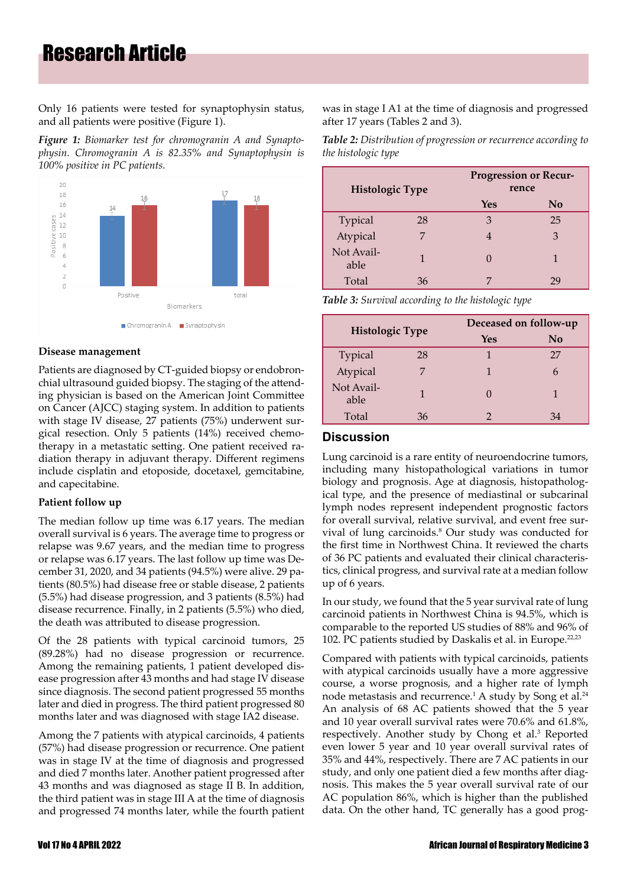## Research Article

Only 16 patients were tested for synaptophysin status, and all patients were positive (Figure 1).

*Figure 1: Biomarker test for chromogranin A and Synaptophysin. Chromogranin A is 82.35% and Synaptophysin is 100% positive in PC patients.*



#### **Disease management**

Patients are diagnosed by CT-guided biopsy or endobronchial ultrasound guided biopsy. The staging of the attending physician is based on the American Joint Committee on Cancer (AJCC) staging system. In addition to patients with stage IV disease, 27 patients (75%) underwent surgical resection. Only 5 patients (14%) received chemotherapy in a metastatic setting. One patient received radiation therapy in adjuvant therapy. Different regimens include cisplatin and etoposide, docetaxel, gemcitabine, and capecitabine.

#### **Patient follow up**

The median follow up time was 6.17 years. The median overall survival is 6 years. The average time to progress or relapse was 9.67 years, and the median time to progress or relapse was 6.17 years. The last follow up time was December 31, 2020, and 34 patients (94.5%) were alive. 29 patients (80.5%) had disease free or stable disease, 2 patients (5.5%) had disease progression, and 3 patients (8.5%) had disease recurrence. Finally, in 2 patients (5.5%) who died, the death was attributed to disease progression.

Of the 28 patients with typical carcinoid tumors, 25 (89.28%) had no disease progression or recurrence. Among the remaining patients, 1 patient developed disease progression after 43 months and had stage IV disease since diagnosis. The second patient progressed 55 months later and died in progress. The third patient progressed 80 months later and was diagnosed with stage IA2 disease.

Among the 7 patients with atypical carcinoids, 4 patients (57%) had disease progression or recurrence. One patient was in stage IV at the time of diagnosis and progressed and died 7 months later. Another patient progressed after 43 months and was diagnosed as stage II B. In addition, the third patient was in stage III A at the time of diagnosis and progressed 74 months later, while the fourth patient was in stage I A1 at the time of diagnosis and progressed after 17 years (Tables 2 and 3).

*Table 2: Distribution of progression or recurrence according to the histologic type*

| <b>Histologic Type</b> |    | <b>Progression or Recur-</b><br>rence |    |
|------------------------|----|---------------------------------------|----|
|                        |    | Yes                                   | No |
| Typical                | 28 | 3                                     | 25 |
| Atypical               | 7  |                                       | 3  |
| Not Avail-<br>able     |    | O                                     |    |
| Total                  | 36 |                                       | 29 |

*Table 3: Survival according to the histologic type*

| <b>Histologic Type</b> |    | Deceased on follow-up |          |
|------------------------|----|-----------------------|----------|
|                        |    | Yes                   | $\bf No$ |
| Typical                | 28 |                       | 27       |
| Atypical               |    |                       |          |
| Not Avail-<br>able     |    |                       |          |
| Total                  | 36 | 2                     | 34       |

### **Discussion**

Lung carcinoid is a rare entity of neuroendocrine tumors, including many histopathological variations in tumor biology and prognosis. Age at diagnosis, histopathological type, and the presence of mediastinal or subcarinal lymph nodes represent independent prognostic factors for overall survival, relative survival, and event free survival of lung carcinoids.<sup>8</sup> Our study was conducted for the first time in Northwest China. It reviewed the charts of 36 PC patients and evaluated their clinical characteristics, clinical progress, and survival rate at a median follow up of 6 years.

In our study, we found that the 5 year survival rate of lung carcinoid patients in Northwest China is 94.5%, which is comparable to the reported US studies of 88% and 96% of 102. PC patients studied by Daskalis et al. in Europe.<sup>22,23</sup>

Compared with patients with typical carcinoids, patients with atypical carcinoids usually have a more aggressive course, a worse prognosis, and a higher rate of lymph node metastasis and recurrence.<sup>1</sup> A study by Song et al.<sup>24</sup> An analysis of 68 AC patients showed that the 5 year and 10 year overall survival rates were 70.6% and 61.8%, respectively. Another study by Chong et al.<sup>3</sup> Reported even lower 5 year and 10 year overall survival rates of 35% and 44%, respectively. There are 7 AC patients in our study, and only one patient died a few months after diagnosis. This makes the 5 year overall survival rate of our AC population 86%, which is higher than the published data. On the other hand, TC generally has a good prog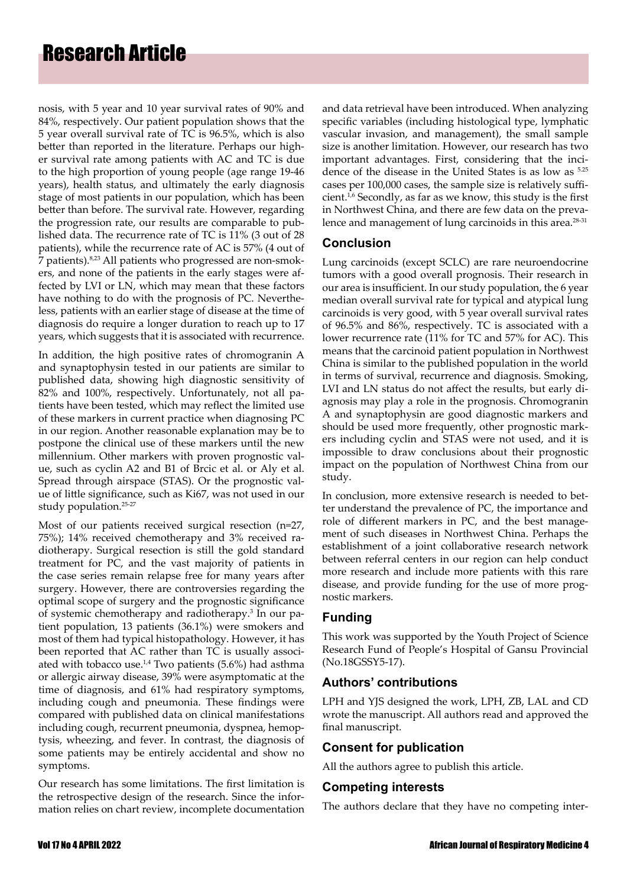nosis, with 5 year and 10 year survival rates of 90% and 84%, respectively. Our patient population shows that the 5 year overall survival rate of TC is 96.5%, which is also better than reported in the literature. Perhaps our higher survival rate among patients with AC and TC is due to the high proportion of young people (age range 19-46 years), health status, and ultimately the early diagnosis stage of most patients in our population, which has been better than before. The survival rate. However, regarding the progression rate, our results are comparable to published data. The recurrence rate of TC is 11% (3 out of 28 patients), while the recurrence rate of AC is 57% (4 out of 7 patients).8,23 All patients who progressed are non-smokers, and none of the patients in the early stages were affected by LVI or LN, which may mean that these factors have nothing to do with the prognosis of PC. Nevertheless, patients with an earlier stage of disease at the time of diagnosis do require a longer duration to reach up to 17 years, which suggests that it is associated with recurrence.

In addition, the high positive rates of chromogranin A and synaptophysin tested in our patients are similar to published data, showing high diagnostic sensitivity of 82% and 100%, respectively. Unfortunately, not all patients have been tested, which may reflect the limited use of these markers in current practice when diagnosing PC in our region. Another reasonable explanation may be to postpone the clinical use of these markers until the new millennium. Other markers with proven prognostic value, such as cyclin A2 and B1 of Brcic et al. or Aly et al. Spread through airspace (STAS). Or the prognostic value of little significance, such as Ki67, was not used in our study population.25-27

Most of our patients received surgical resection (n=27, 75%); 14% received chemotherapy and 3% received radiotherapy. Surgical resection is still the gold standard treatment for PC, and the vast majority of patients in the case series remain relapse free for many years after surgery. However, there are controversies regarding the optimal scope of surgery and the prognostic significance of systemic chemotherapy and radiotherapy.3 In our patient population, 13 patients (36.1%) were smokers and most of them had typical histopathology. However, it has been reported that AC rather than TC is usually associated with tobacco use.<sup>1,4</sup> Two patients  $(5.6\%)$  had asthma or allergic airway disease, 39% were asymptomatic at the time of diagnosis, and 61% had respiratory symptoms, including cough and pneumonia. These findings were compared with published data on clinical manifestations including cough, recurrent pneumonia, dyspnea, hemoptysis, wheezing, and fever. In contrast, the diagnosis of some patients may be entirely accidental and show no symptoms.

Our research has some limitations. The first limitation is the retrospective design of the research. Since the information relies on chart review, incomplete documentation and data retrieval have been introduced. When analyzing specific variables (including histological type, lymphatic vascular invasion, and management), the small sample size is another limitation. However, our research has two important advantages. First, considering that the incidence of the disease in the United States is as low as 5.25 cases per 100,000 cases, the sample size is relatively sufficient.<sup>1,6</sup> Secondly, as far as we know, this study is the first in Northwest China, and there are few data on the prevalence and management of lung carcinoids in this area.<sup>28-31</sup>

## **Conclusion**

Lung carcinoids (except SCLC) are rare neuroendocrine tumors with a good overall prognosis. Their research in our area is insufficient. In our study population, the 6 year median overall survival rate for typical and atypical lung carcinoids is very good, with 5 year overall survival rates of 96.5% and 86%, respectively. TC is associated with a lower recurrence rate (11% for TC and 57% for AC). This means that the carcinoid patient population in Northwest China is similar to the published population in the world in terms of survival, recurrence and diagnosis. Smoking, LVI and LN status do not affect the results, but early diagnosis may play a role in the prognosis. Chromogranin A and synaptophysin are good diagnostic markers and should be used more frequently, other prognostic markers including cyclin and STAS were not used, and it is impossible to draw conclusions about their prognostic impact on the population of Northwest China from our study.

In conclusion, more extensive research is needed to better understand the prevalence of PC, the importance and role of different markers in PC, and the best management of such diseases in Northwest China. Perhaps the establishment of a joint collaborative research network between referral centers in our region can help conduct more research and include more patients with this rare disease, and provide funding for the use of more prognostic markers.

## **Funding**

This work was supported by the Youth Project of Science Research Fund of People's Hospital of Gansu Provincial (No.18GSSY5-17).

## **Authors' contributions**

LPH and YJS designed the work, LPH, ZB, LAL and CD wrote the manuscript. All authors read and approved the final manuscript.

## **Consent for publication**

All the authors agree to publish this article.

### **Competing interests**

The authors declare that they have no competing inter-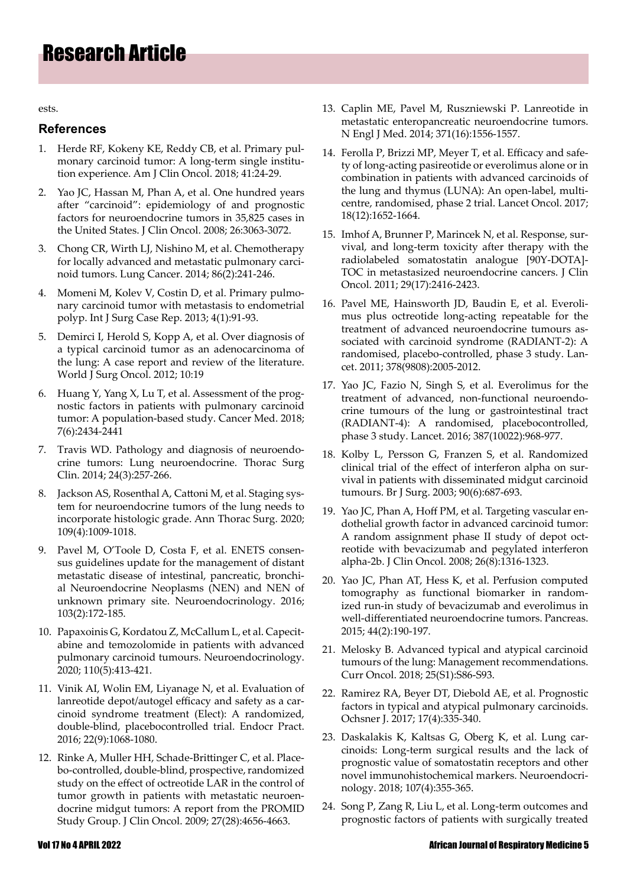ests.

#### **References**

- 1. Herde RF, Kokeny KE, Reddy CB, et al[. Primary pul](https://journals.lww.com/amjclinicaloncology/Abstract/2018/01000/Primary_Pulmonary_Carcinoid_Tumor__A_Long_term.5.aspx)[monary carcinoid tumor: A long-term sing](https://journals.lww.com/amjclinicaloncology/Abstract/2018/01000/Primary_Pulmonary_Carcinoid_Tumor__A_Long_term.5.aspx)le institution experience. Am J Clin Oncol. 2018; 41:24-29.
- 2. Yao JC, Hassan M, Phan A, et al. [One hundred years](https://ascopubs.org/doi/10.1200/JCO.2007.15.4377) [after "carcinoid": epidemiology of a](https://ascopubs.org/doi/10.1200/JCO.2007.15.4377)nd prognostic factors for neuroendocrine tumors in 35,825 cases in the United States. J Clin Oncol. 2008; 26:3063-3072.
- 3. Chong CR, Wirth LJ, Nishino M, et al. [Chemotherapy](https://www.lungcancerjournal.info/article/S0169-5002(14)00357-2/fulltext) [for locally advanced and metastatic pulmo](https://www.lungcancerjournal.info/article/S0169-5002(14)00357-2/fulltext)nary carcinoid tumors. Lung Cancer. 2014; 86(2):241-246.
- 4. Momeni M, Kolev V, Costin D, et al. [Primary pulmo](https://www.sciencedirect.com/science/article/pii/S2210261212001861?via%3Dihub)[nary carcinoid tumor with metastasis to](https://www.sciencedirect.com/science/article/pii/S2210261212001861?via%3Dihub) endometrial polyp. Int J Surg Case Rep. 2013; 4(1):91-93.
- 5. Demirci I, Herold S, Kopp A, et al. [Over diagnosis of](https://wjso.biomedcentral.com/articles/10.1186/1477-7819-10-19) [a typical carcinoid tumor as an adeno](https://wjso.biomedcentral.com/articles/10.1186/1477-7819-10-19)carcinoma of the lung: A case report and review of the literature. World J Surg Oncol. 2012; 10:19
- 6. Huang Y, Yang X, Lu T, et al. [Assessment of the prog](https://onlinelibrary.wiley.com/doi/10.1002/cam4.1515)[nostic factors in patients with p](https://onlinelibrary.wiley.com/doi/10.1002/cam4.1515)ulmonary carcinoid tumor: A population-based study. Cancer Med. 2018; 7(6):2434-2441
- 7. Travis WD. [Pathology and diagnosis of neuroendo](https://www.thoracic.theclinics.com/article/S1547-4127(14)00035-8/fulltext)[crine tumors: Lu](https://www.thoracic.theclinics.com/article/S1547-4127(14)00035-8/fulltext)ng neuroendocrine. Thorac Surg Clin. 2014; 24(3):257-266.
- 8. Jackson AS, Rosenthal A, Cattoni M, et al. [Staging sys](https://www.annalsthoracicsurgery.org/article/S0003-4975(19)31627-3/fulltext)[tem for neuroendocrine tumors of the lung](https://www.annalsthoracicsurgery.org/article/S0003-4975(19)31627-3/fulltext) needs to incorporate histologic grade. Ann Thorac Surg. 2020; 109(4):1009-1018.
- 9. Pavel M, O'Toole D, Costa F, et al. [ENETS consen](https://www.karger.com/Article/Abstract/443167)[sus guidelines update for the management of distant](https://www.karger.com/Article/Abstract/443167) [metastatic disease of intestinal, pancreatic](https://www.karger.com/Article/Abstract/443167), bronchial Neuroendocrine Neoplasms (NEN) and NEN of unknown primary site. Neuroendocrinology. 2016; 103(2):172-185.
- 10. Papaxoinis G, Kordatou Z, McCallum L, et al. [Capecit](https://www.karger.com/Article/Abstract/502864)[abine and temozolomide in patients with advanced](https://www.karger.com/Article/Abstract/502864) [pulmonary carcinoid tumours. Neuroendocrino](https://www.karger.com/Article/Abstract/502864)logy. 2020; 110(5):413-421.
- 11. Vinik AI, Wolin EM, Liyanage N, et al. [Evaluation of](https://www.endocrinepractice.org/article/S1530-891X(20)41688-X/fulltext) [lanreotide depot/autogel efficacy and safety as a car](https://www.endocrinepractice.org/article/S1530-891X(20)41688-X/fulltext)[cinoid syndrome treatment \(Elect\): A ran](https://www.endocrinepractice.org/article/S1530-891X(20)41688-X/fulltext)domized, double-blind, placebocontrolled trial. Endocr Pract. 2016; 22(9):1068-1080.
- 12. Rinke A, Muller HH, Schade-Brittinger C, et al. [Place](https://www.karger.com/Article/FullText/443612)[bo-controlled, double-blind, prospective, randomized](https://www.karger.com/Article/FullText/443612) [study on the effect of octreotide LAR in the control of](https://www.karger.com/Article/FullText/443612) [tumor growth in patients with metastatic neuroen](https://www.karger.com/Article/FullText/443612)docrine midgut tumors: A report from the PROMID Study Group. J Clin Oncol. 2009; 27(28):4656-4663.
- 13. Caplin ME, Pavel M, Ruszniewski P. Lanreotide in [metastatic enteropancreatic neuroendocrine tumors.](https://www.nejm.org/doi/10.1056/NEJMoa1316158)  [N Engl J M](https://www.nejm.org/doi/10.1056/NEJMoa1316158)ed. 2014; 371(16):1556-1557.
- 14. Ferolla P, Brizzi MP, Meyer T, et al[. Efficacy and safe](https://www.thelancet.com/journals/lanonc/article/PIIS1470-2045(17)30681-2/fulltext)[ty of long-acting pasireotide or everolimus alone or in](https://www.thelancet.com/journals/lanonc/article/PIIS1470-2045(17)30681-2/fulltext)  [combination in patients with advanced carcinoids of](https://www.thelancet.com/journals/lanonc/article/PIIS1470-2045(17)30681-2/fulltext)  [the lung and thymus \(LUNA\): An open](https://www.thelancet.com/journals/lanonc/article/PIIS1470-2045(17)30681-2/fulltext)-label, multicentre, randomised, phase 2 trial. Lancet Oncol. 2017; 18(12):1652-1664.
- 15. Imhof A, Brunner P, Marincek N, et al. [Response, sur](https://ascopubs.org/doi/10.1200/JCO.2010.33.7873)[vival, and long-term toxicity after therapy with the](https://ascopubs.org/doi/10.1200/JCO.2010.33.7873)  [radiolabeled somatostatin analogue \[](https://ascopubs.org/doi/10.1200/JCO.2010.33.7873)90Y-DOTA]- TOC in metastasized neuroendocrine cancers. J Clin Oncol. 2011; 29(17):2416-2423.
- 16. Pavel ME, Hainsworth JD, Baudin E, et al. Everoli[mus plus octreotide long-acting repeatable for the](https://www.thelancet.com/journals/lancet/article/PIIS0140-6736(11)61742-X/fulltext)  [treatment of advanced neuroendocrine tumours as](https://www.thelancet.com/journals/lancet/article/PIIS0140-6736(11)61742-X/fulltext)[sociated with carcinoid](https://www.thelancet.com/journals/lancet/article/PIIS0140-6736(11)61742-X/fulltext) syndrome (RADIANT-2): A randomised, placebo-controlled, phase 3 study. Lancet. 2011; 378(9808):2005-2012.
- 17. Yao JC, Fazio N, Singh S, et al. [Everolimus for the](https://www.thelancet.com/journals/lancet/article/PIIS0140-6736(15)00817-X/fulltext)  [treatment of advanced, non-functional neuroendo](https://www.thelancet.com/journals/lancet/article/PIIS0140-6736(15)00817-X/fulltext)[crine tumours of the lung or gastro](https://www.thelancet.com/journals/lancet/article/PIIS0140-6736(15)00817-X/fulltext)intestinal tract (RADIANT-4): A randomised, placebocontrolled, phase 3 study. Lancet. 2016; 387(10022):968-977.
- 18. Kolby L, Persson G, Franzen S, et al. R[andomized](https://academic.oup.com/bjs/article/90/6/687/6143304)  [clinical trial of the effect of interferon alph](https://academic.oup.com/bjs/article/90/6/687/6143304)a on survival in patients with disseminated midgut carcinoid tumours. Br J Surg. 2003; 90(6):687-693.
- 19. Yao JC, Phan A, Hoff PM, et al. [Targeting vascular en](https://ascopubs.org/doi/10.1200/JCO.2007.13.6374)[dothelial growth factor in advanced carcinoid tumor:](https://ascopubs.org/doi/10.1200/JCO.2007.13.6374)  [A random assignment phase II st](https://ascopubs.org/doi/10.1200/JCO.2007.13.6374)udy of depot octreotide with bevacizumab and pegylated interferon alpha-2b. J Clin Oncol. 2008; 26(8):1316-1323.
- 20. Yao JC, Phan AT, Hess K, et al. [Perfusion computed](https://journals.lww.com/pancreasjournal/Abstract/2015/03000/Perfusion_Computed_Tomography_as_Functional.3.aspx)  [tomography as functional biom](https://journals.lww.com/pancreasjournal/Abstract/2015/03000/Perfusion_Computed_Tomography_as_Functional.3.aspx)arker in randomized run-in study of bevacizumab and everolimus in well-differentiated neuroendocrine tumors. Pancreas. 2015; 44(2):190-197.
- 21. Melosky B. A[dvanced typical and atypical carcinoid](https://www.mdpi.com/1718-7729/25/11/3808)  [tumours of the lung: Man](https://www.mdpi.com/1718-7729/25/11/3808)agement recommendations. Curr Oncol. 2018; 25(S1):S86-S93.
- 22. Ramirez RA, Beyer DT, Diebold AE, et al. [Prognostic](https://www.ncbi.nlm.nih.gov/pmc/articles/PMC5718446/)  [factors in typical and atypical pulmonary c](https://www.ncbi.nlm.nih.gov/pmc/articles/PMC5718446/)arcinoids. Ochsner J. 2017; 17(4):335-340.
- 23. Daskalakis K, Kaltsas G, Oberg K, et al. [Lung car](https://www.karger.com/Article/Abstract/493944)[cinoids: Long-term surgical results and th](https://www.karger.com/Article/Abstract/493944)e lack of prognostic value of somatostatin receptors and other novel immunohistochemical markers. Neuroendocrinology. 2018; 107(4):355-365.
- 24. Song P, Zang R, Liu L, et al. [Long-term outcomes and](https://jtd.amegroups.com/article/view/22408/17443)  [prognostic factors of patients with surgically treated](https://jtd.amegroups.com/article/view/22408/17443)